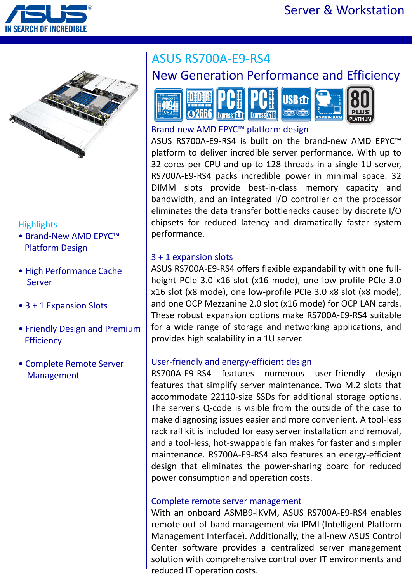



### **Highlights**

- Brand-New AMD EPYC™ Platform Design
- High Performance Cache Server
- 3 + 1 Expansion Slots
- Friendly Design and Premium **Efficiency**
- Complete Remote Server Management

# ASUS RS700A-E9-RS4

### New Generation Performance and Efficiency



#### Brand-new AMD EPYC™ platform design

ASUS RS700A-E9-RS4 is built on the brand-new AMD EPYC™ platform to deliver incredible server performance. With up to 32 cores per CPU and up to 128 threads in a single 1U server, RS700A-E9-RS4 packs incredible power in minimal space. 32 DIMM slots provide best-in-class memory capacity and bandwidth, and an integrated I/O controller on the processor eliminates the data transfer bottlenecks caused by discrete I/O chipsets for reduced latency and dramatically faster system performance.

#### 3 + 1 expansion slots

ASUS RS700A-E9-RS4 offers flexible expandability with one fullheight PCIe 3.0 x16 slot (x16 mode), one low-profile PCIe 3.0 x16 slot (x8 mode), one low-profile PCIe 3.0 x8 slot (x8 mode), and one OCP Mezzanine 2.0 slot (x16 mode) for OCP LAN cards. These robust expansion options make RS700A-E9-RS4 suitable for a wide range of storage and networking applications, and provides high scalability in a 1U server.

#### User-friendly and energy-efficient design

RS700A-E9-RS4 features numerous user-friendly design features that simplify server maintenance. Two M.2 slots that accommodate 22110-size SSDs for additional storage options. The server's Q-code is visible from the outside of the case to make diagnosing issues easier and more convenient. A tool-less rack rail kit is included for easy server installation and removal, and a tool-less, hot-swappable fan makes for faster and simpler maintenance. RS700A-E9-RS4 also features an energy-efficient design that eliminates the power-sharing board for reduced power consumption and operation costs.

#### Complete remote server management

With an onboard ASMB9-iKVM, ASUS RS700A-E9-RS4 enables remote out-of-band management via IPMI (Intelligent Platform Management Interface). Additionally, the all-new ASUS Control Center software provides a centralized server management solution with comprehensive control over IT environments and reduced IT operation costs.